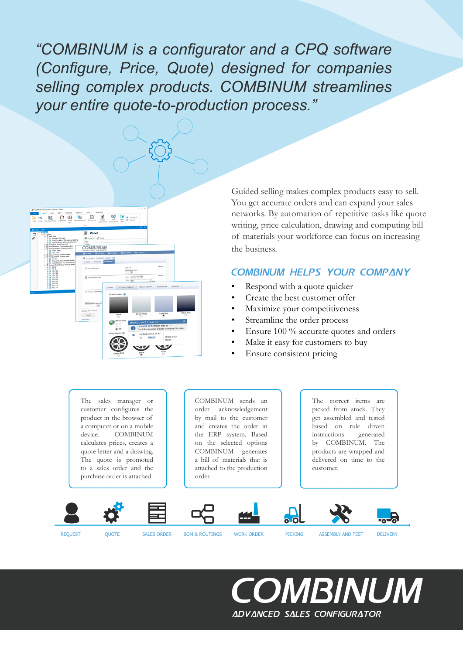*"COMBINUM is a configurator and a CPQ software (Configure, Price, Quote) designed for companies selling complex products. COMBINUM streamlines your entire quote-to-production process."*



Guided selling makes complex products easy to sell. You get accurate orders and can expand your sales networks. By automation of repetitive tasks like quote writing, price calculation, drawing and computing bill of materials your workforce can focus on increasing the business.

#### COMBINUM helps your company

- Respond with a quote quicker
- Create the best customer offer
- Maximize your competitiveness
- Streamline the order process
- Ensure 100 % accurate quotes and orders
- Make it easy for customers to buy
- Ensure consistent pricing